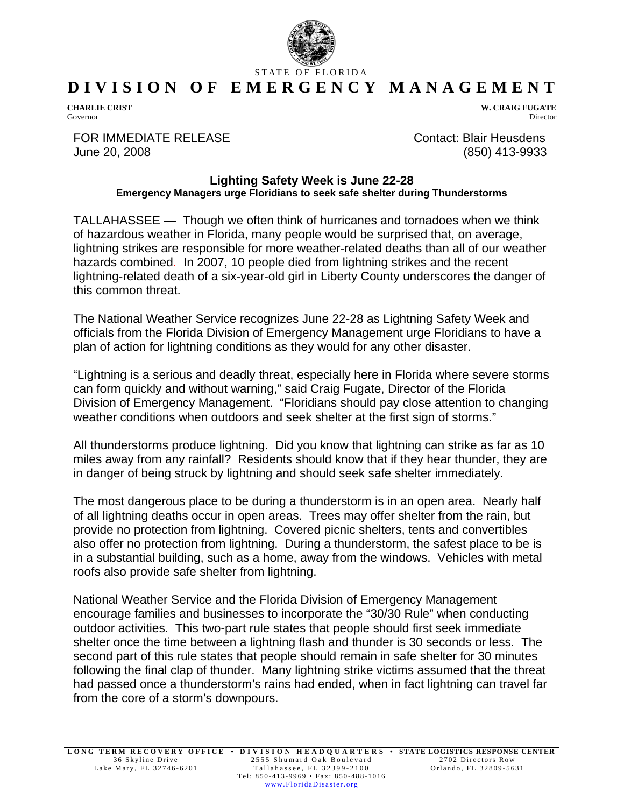

## STATE OF FLORIDA **DIVISION OF EMERGENCY MANAGEMENT**

**CHARLIE CRIST**  Governor

FOR IMMEDIATE RELEASE Contact: Blair Heusdens June 20, 2008 (850) 413-9933

**W. CRAIG FUGATE** Director

## **Lighting Safety Week is June 22-28 Emergency Managers urge Floridians to seek safe shelter during Thunderstorms**

TALLAHASSEE — Though we often think of hurricanes and tornadoes when we think of hazardous weather in Florida, many people would be surprised that, on average, lightning strikes are responsible for more weather-related deaths than all of our weather hazards combined. In 2007, 10 people died from lightning strikes and the recent lightning-related death of a six-year-old girl in Liberty County underscores the danger of this common threat.

The National Weather Service recognizes June 22-28 as Lightning Safety Week and officials from the Florida Division of Emergency Management urge Floridians to have a plan of action for lightning conditions as they would for any other disaster.

"Lightning is a serious and deadly threat, especially here in Florida where severe storms can form quickly and without warning," said Craig Fugate, Director of the Florida Division of Emergency Management. "Floridians should pay close attention to changing weather conditions when outdoors and seek shelter at the first sign of storms."

All thunderstorms produce lightning. Did you know that lightning can strike as far as 10 miles away from any rainfall? Residents should know that if they hear thunder, they are in danger of being struck by lightning and should seek safe shelter immediately.

The most dangerous place to be during a thunderstorm is in an open area. Nearly half of all lightning deaths occur in open areas. Trees may offer shelter from the rain, but provide no protection from lightning. Covered picnic shelters, tents and convertibles also offer no protection from lightning. During a thunderstorm, the safest place to be is in a substantial building, such as a home, away from the windows. Vehicles with metal roofs also provide safe shelter from lightning.

National Weather Service and the Florida Division of Emergency Management encourage families and businesses to incorporate the "30/30 Rule" when conducting outdoor activities. This two-part rule states that people should first seek immediate shelter once the time between a lightning flash and thunder is 30 seconds or less. The second part of this rule states that people should remain in safe shelter for 30 minutes following the final clap of thunder. Many lightning strike victims assumed that the threat had passed once a thunderstorm's rains had ended, when in fact lightning can travel far from the core of a storm's downpours.